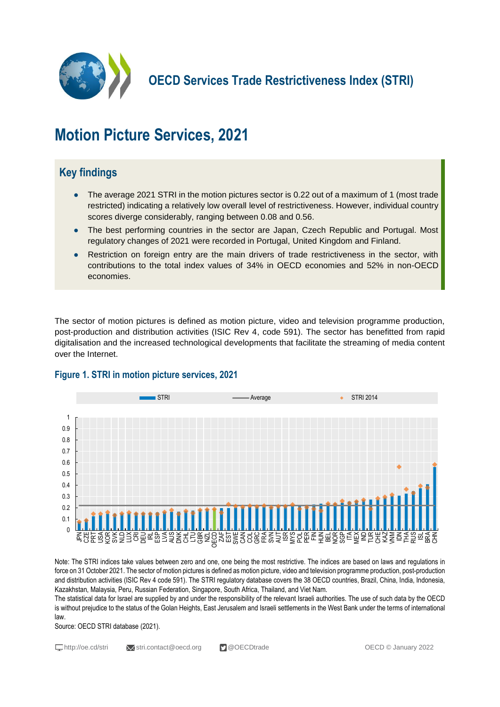

**OECD Services Trade Restrictiveness Index (STRI)**

# **Motion Picture Services, 2021**

# **Key findings**

- The average 2021 STRI in the motion pictures sector is 0.22 out of a maximum of 1 (most trade restricted) indicating a relatively low overall level of restrictiveness. However, individual country scores diverge considerably, ranging between 0.08 and 0.56.
- The best performing countries in the sector are Japan, Czech Republic and Portugal. Most regulatory changes of 2021 were recorded in Portugal, United Kingdom and Finland.
- Restriction on foreign entry are the main drivers of trade restrictiveness in the sector, with contributions to the total index values of 34% in OECD economies and 52% in non-OECD economies.

The sector of motion pictures is defined as motion picture, video and television programme production, post-production and distribution activities (ISIC Rev 4, code 591). The sector has benefitted from rapid digitalisation and the increased technological developments that facilitate the streaming of media content over the Internet.



# **Figure 1. STRI in motion picture services, 2021**

Note: The STRI indices take values between zero and one, one being the most restrictive. The indices are based on laws and regulations in force on 31 October 2021. The sector of motion pictures is defined as motion picture, video and television programme production, post-production and distribution activities (ISIC Rev 4 code 591). The STRI regulatory database covers the 38 OECD countries, Brazil, China, India, Indonesia, Kazakhstan, Malaysia, Peru, Russian Federation, Singapore, South Africa, Thailand, and Viet Nam.

The statistical data for Israel are supplied by and under the responsibility of the relevant Israeli authorities. The use of such data by the OECD is without prejudice to the status of the Golan Heights, East Jerusalem and Israeli settlements in the West Bank under the terms of international law.

Source: OECD STRI database (2021).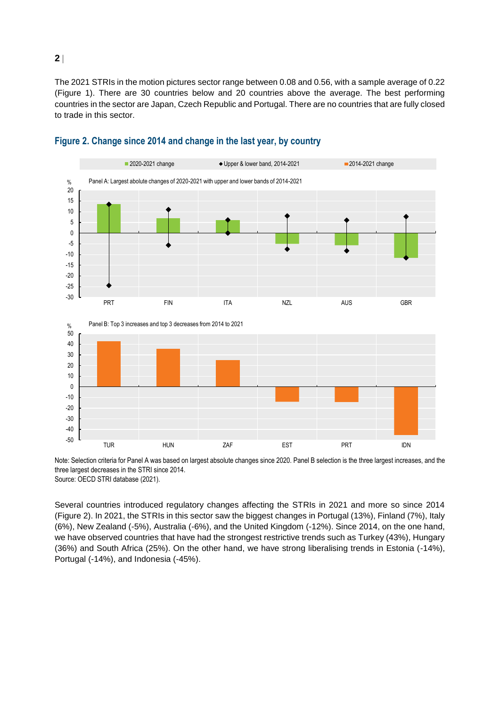The 2021 STRIs in the motion pictures sector range between 0.08 and 0.56, with a sample average of 0.22 (Figure 1). There are 30 countries below and 20 countries above the average. The best performing countries in the sector are Japan, Czech Republic and Portugal. There are no countries that are fully closed to trade in this sector.



## **Figure 2. Change since 2014 and change in the last year, by country**

Note: Selection criteria for Panel A was based on largest absolute changes since 2020. Panel B selection is the three largest increases, and the three largest decreases in the STRI since 2014. Source: OECD STRI database (2021).

TUR HUN ZAF EST PRT IDN

Several countries introduced regulatory changes affecting the STRIs in 2021 and more so since 2014 (Figure 2). In 2021, the STRIs in this sector saw the biggest changes in Portugal (13%), Finland (7%), Italy (6%), New Zealand (-5%), Australia (-6%), and the United Kingdom (-12%). Since 2014, on the one hand, we have observed countries that have had the strongest restrictive trends such as Turkey (43%), Hungary (36%) and South Africa (25%). On the other hand, we have strong liberalising trends in Estonia (-14%), Portugal (-14%), and Indonesia (-45%).

**2**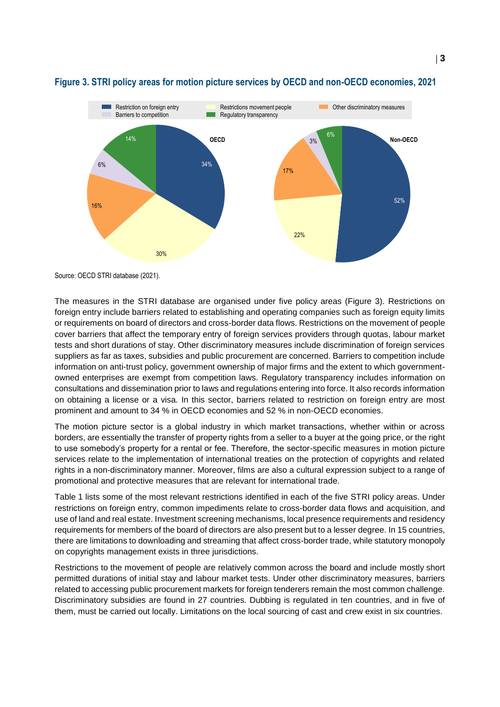

### **Figure 3. STRI policy areas for motion picture services by OECD and non-OECD economies, 2021**

Source: OECD STRI database (2021).

The measures in the STRI database are organised under five policy areas (Figure 3). Restrictions on foreign entry include barriers related to establishing and operating companies such as foreign equity limits or requirements on board of directors and cross-border data flows. Restrictions on the movement of people cover barriers that affect the temporary entry of foreign services providers through quotas, labour market tests and short durations of stay. Other discriminatory measures include discrimination of foreign services suppliers as far as taxes, subsidies and public procurement are concerned. Barriers to competition include information on anti-trust policy, government ownership of major firms and the extent to which governmentowned enterprises are exempt from competition laws. Regulatory transparency includes information on consultations and dissemination prior to laws and regulations entering into force. It also records information on obtaining a license or a visa. In this sector, barriers related to restriction on foreign entry are most prominent and amount to 34 % in OECD economies and 52 % in non-OECD economies.

The motion picture sector is a global industry in which market transactions, whether within or across borders, are essentially the transfer of property rights from a seller to a buyer at the going price, or the right to use somebody's property for a rental or fee. Therefore, the sector-specific measures in motion picture services relate to the implementation of international treaties on the protection of copyrights and related rights in a non-discriminatory manner. Moreover, films are also a cultural expression subject to a range of promotional and protective measures that are relevant for international trade.

Table 1 lists some of the most relevant restrictions identified in each of the five STRI policy areas. Under restrictions on foreign entry, common impediments relate to cross-border data flows and acquisition, and use of land and real estate. Investment screening mechanisms, local presence requirements and residency requirements for members of the board of directors are also present but to a lesser degree. In 15 countries, there are limitations to downloading and streaming that affect cross-border trade, while statutory monopoly on copyrights management exists in three jurisdictions.

Restrictions to the movement of people are relatively common across the board and include mostly short permitted durations of initial stay and labour market tests. Under other discriminatory measures, barriers related to accessing public procurement markets for foreign tenderers remain the most common challenge. Discriminatory subsidies are found in 27 countries. Dubbing is regulated in ten countries, and in five of them, must be carried out locally. Limitations on the local sourcing of cast and crew exist in six countries.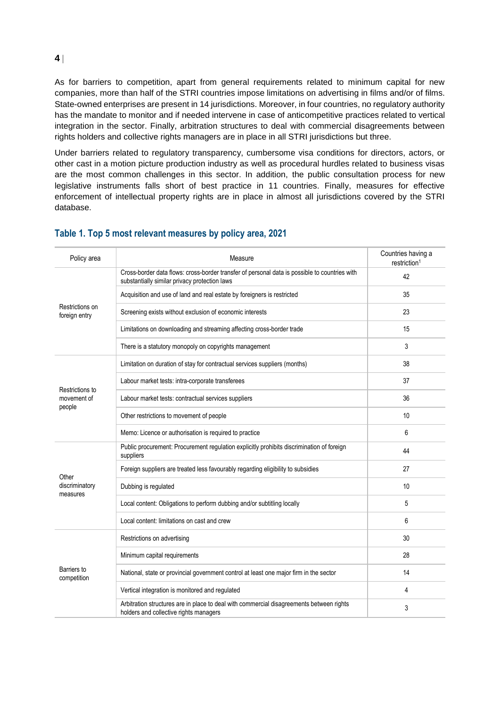As for barriers to competition, apart from general requirements related to minimum capital for new companies, more than half of the STRI countries impose limitations on advertising in films and/or of films. State-owned enterprises are present in 14 jurisdictions. Moreover, in four countries, no regulatory authority has the mandate to monitor and if needed intervene in case of anticompetitive practices related to vertical integration in the sector. Finally, arbitration structures to deal with commercial disagreements between rights holders and collective rights managers are in place in all STRI jurisdictions but three.

Under barriers related to regulatory transparency, cumbersome visa conditions for directors, actors, or other cast in a motion picture production industry as well as procedural hurdles related to business visas are the most common challenges in this sector. In addition, the public consultation process for new legislative instruments falls short of best practice in 11 countries. Finally, measures for effective enforcement of intellectual property rights are in place in almost all jurisdictions covered by the STRI database.

| Policy area                              | Measure                                                                                                                                        | Countries having a<br>restriction <sup>1</sup> |
|------------------------------------------|------------------------------------------------------------------------------------------------------------------------------------------------|------------------------------------------------|
| Restrictions on<br>foreign entry         | Cross-border data flows: cross-border transfer of personal data is possible to countries with<br>substantially similar privacy protection laws | 42                                             |
|                                          | Acquisition and use of land and real estate by foreigners is restricted                                                                        | 35                                             |
|                                          | Screening exists without exclusion of economic interests                                                                                       | 23                                             |
|                                          | Limitations on downloading and streaming affecting cross-border trade                                                                          | 15                                             |
|                                          | There is a statutory monopoly on copyrights management                                                                                         | 3                                              |
| Restrictions to<br>movement of<br>people | Limitation on duration of stay for contractual services suppliers (months)                                                                     | 38                                             |
|                                          | Labour market tests: intra-corporate transferees                                                                                               | 37                                             |
|                                          | Labour market tests: contractual services suppliers                                                                                            | 36                                             |
|                                          | Other restrictions to movement of people                                                                                                       | 10                                             |
|                                          | Memo: Licence or authorisation is required to practice                                                                                         | 6                                              |
| Other<br>discriminatory<br>measures      | Public procurement: Procurement regulation explicitly prohibits discrimination of foreign<br>suppliers                                         | 44                                             |
|                                          | Foreign suppliers are treated less favourably regarding eligibility to subsidies                                                               | 27                                             |
|                                          | Dubbing is regulated                                                                                                                           | 10                                             |
|                                          | Local content: Obligations to perform dubbing and/or subtitling locally                                                                        | 5                                              |
|                                          | Local content: limitations on cast and crew                                                                                                    | 6                                              |
| Barriers to<br>competition               | Restrictions on advertising                                                                                                                    | 30                                             |
|                                          | Minimum capital requirements                                                                                                                   | 28                                             |
|                                          | National, state or provincial government control at least one major firm in the sector                                                         | 14                                             |
|                                          | Vertical integration is monitored and regulated                                                                                                | 4                                              |
|                                          | Arbitration structures are in place to deal with commercial disagreements between rights<br>holders and collective rights managers             | 3                                              |

#### **Table 1. Top 5 most relevant measures by policy area, 2021**

**4**